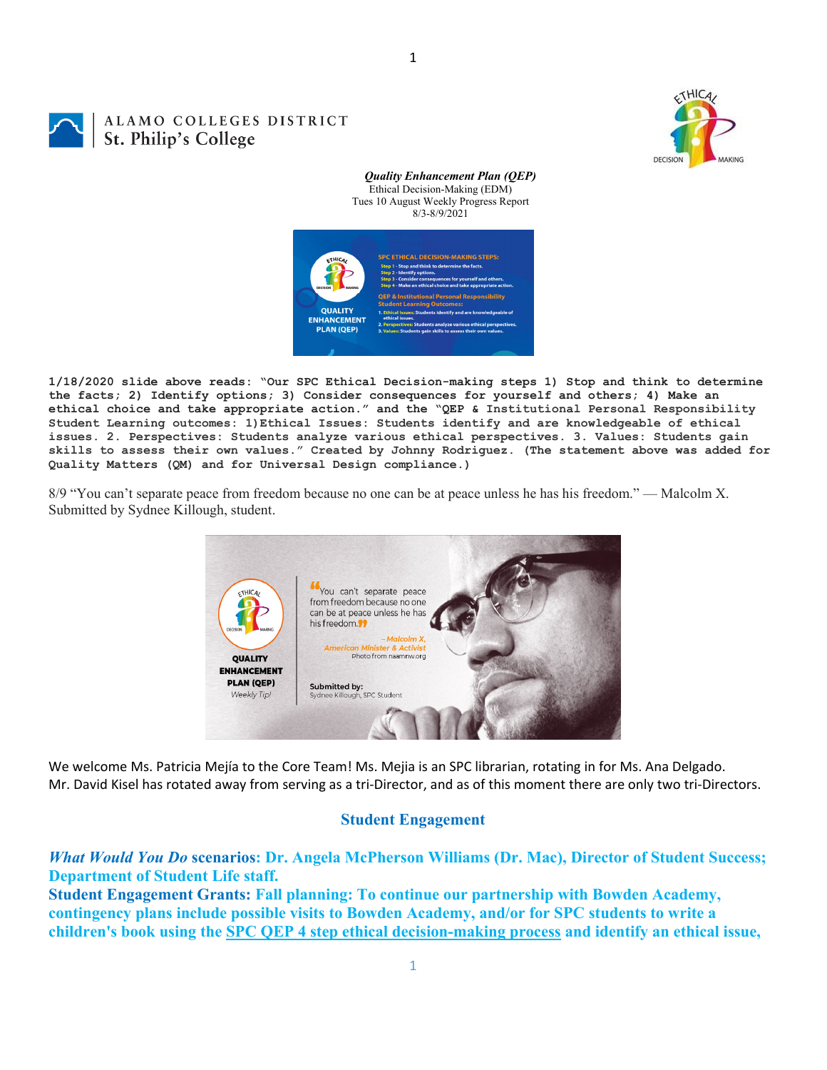

## ALAMO COLLEGES DISTRICT St. Philip's College

*Quality Enhancement Plan (QEP)* Ethical Decision-Making (EDM) Tues 10 August Weekly Progress Report 8/3-8/9/2021



1

**1/18/2020 slide above reads: "Our SPC Ethical Decision-making steps 1) Stop and think to determine the facts; 2) Identify options; 3) Consider consequences for yourself and others; 4) Make an ethical choice and take appropriate action." and the "QEP & Institutional Personal Responsibility Student Learning outcomes: 1)Ethical Issues: Students identify and are knowledgeable of ethical issues. 2. Perspectives: Students analyze various ethical perspectives. 3. Values: Students gain skills to assess their own values." Created by Johnny Rodriguez. (The statement above was added for Quality Matters (QM) and for Universal Design compliance.)**

8/9 "You can't separate peace from freedom because no one can be at peace unless he has his freedom." — Malcolm X. Submitted by Sydnee Killough, student.



We welcome Ms. Patricia Mejía to the Core Team! Ms. Mejia is an SPC librarian, rotating in for Ms. Ana Delgado. Mr. David Kisel has rotated away from serving as a tri‐Director, and as of this moment there are only two tri‐Directors.

## **Student Engagement**

## *What Would You Do* **scenarios: Dr. Angela McPherson Williams (Dr. Mac), Director of Student Success; Department of Student Life staff.**

**Student Engagement Grants: Fall planning: To continue our partnership with Bowden Academy, contingency plans include possible visits to Bowden Academy, and/or for SPC students to write a children's book using the SPC QEP 4 step ethical decision-making process and identify an ethical issue,**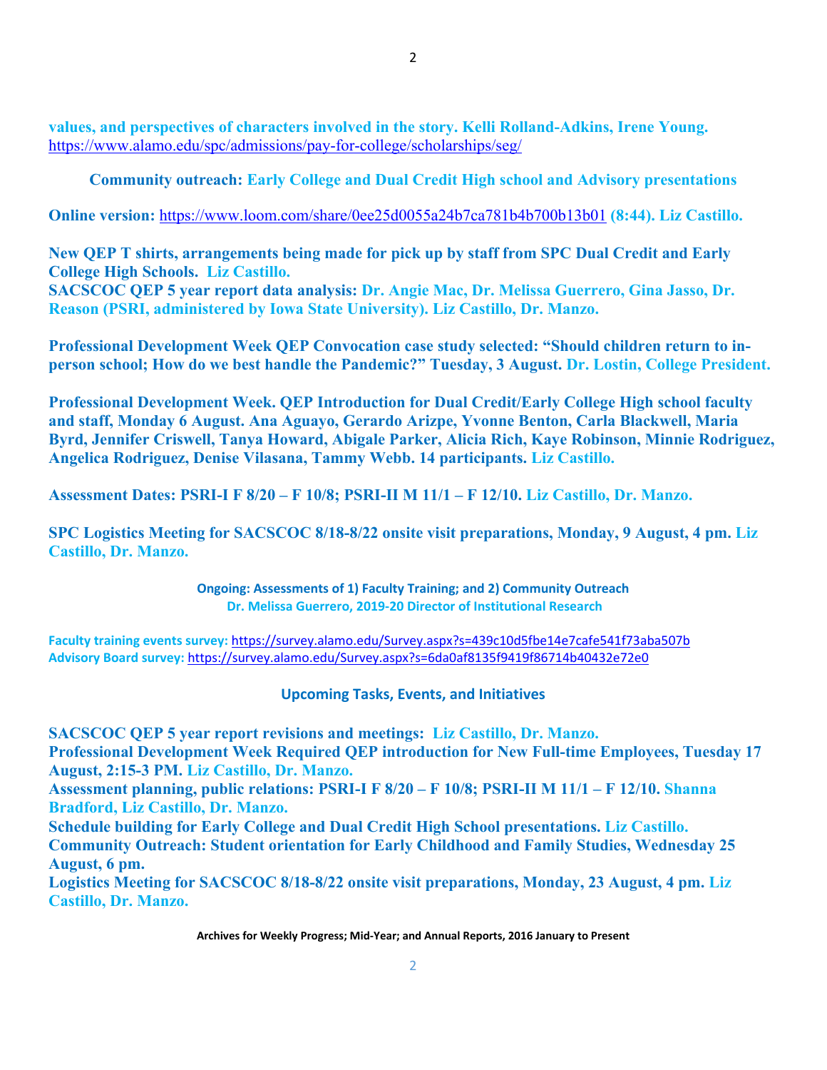**values, and perspectives of characters involved in the story. Kelli Rolland-Adkins, Irene Young.**  https://www.alamo.edu/spc/admissions/pay-for-college/scholarships/seg/

**Community outreach: Early College and Dual Credit High school and Advisory presentations** 

**Online version:** https://www.loom.com/share/0ee25d0055a24b7ca781b4b700b13b01 **(8:44). Liz Castillo.** 

**New QEP T shirts, arrangements being made for pick up by staff from SPC Dual Credit and Early College High Schools. Liz Castillo.**

**SACSCOC QEP 5 year report data analysis: Dr. Angie Mac, Dr. Melissa Guerrero, Gina Jasso, Dr. Reason (PSRI, administered by Iowa State University). Liz Castillo, Dr. Manzo.** 

**Professional Development Week QEP Convocation case study selected: "Should children return to inperson school; How do we best handle the Pandemic?" Tuesday, 3 August. Dr. Lostin, College President.** 

**Professional Development Week. QEP Introduction for Dual Credit/Early College High school faculty and staff, Monday 6 August. Ana Aguayo, Gerardo Arizpe, Yvonne Benton, Carla Blackwell, Maria Byrd, Jennifer Criswell, Tanya Howard, Abigale Parker, Alicia Rich, Kaye Robinson, Minnie Rodriguez, Angelica Rodriguez, Denise Vilasana, Tammy Webb. 14 participants. Liz Castillo.** 

**Assessment Dates: PSRI-I F 8/20 – F 10/8; PSRI-II M 11/1 – F 12/10. Liz Castillo, Dr. Manzo.** 

**SPC Logistics Meeting for SACSCOC 8/18-8/22 onsite visit preparations, Monday, 9 August, 4 pm. Liz Castillo, Dr. Manzo.** 

> **Ongoing: Assessments of 1) Faculty Training; and 2) Community Outreach Dr. Melissa Guerrero, 2019‐20 Director of Institutional Research**

**Faculty training events survey:** https://survey.alamo.edu/Survey.aspx?s=439c10d5fbe14e7cafe541f73aba507b **Advisory Board survey:** https://survey.alamo.edu/Survey.aspx?s=6da0af8135f9419f86714b40432e72e0

**Upcoming Tasks, Events, and Initiatives**

**SACSCOC QEP 5 year report revisions and meetings: Liz Castillo, Dr. Manzo. Professional Development Week Required QEP introduction for New Full-time Employees, Tuesday 17 August, 2:15-3 PM. Liz Castillo, Dr. Manzo.**

**Assessment planning, public relations: PSRI-I F 8/20 – F 10/8; PSRI-II M 11/1 – F 12/10. Shanna Bradford, Liz Castillo, Dr. Manzo.**

**Schedule building for Early College and Dual Credit High School presentations. Liz Castillo. Community Outreach: Student orientation for Early Childhood and Family Studies, Wednesday 25 August, 6 pm.** 

**Logistics Meeting for SACSCOC 8/18-8/22 onsite visit preparations, Monday, 23 August, 4 pm. Liz Castillo, Dr. Manzo.**

**Archives for Weekly Progress; Mid‐Year; and Annual Reports, 2016 January to Present**